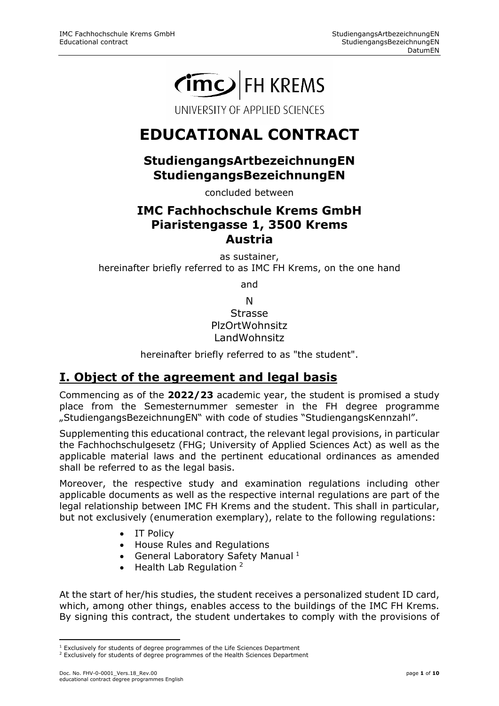# CIMCO FH KREMS

UNIVERSITY OF APPLIED SCIENCES

## **EDUCATIONAL CONTRACT**

#### **StudiengangsArtbezeichnungEN StudiengangsBezeichnungEN**

concluded between

#### **IMC Fachhochschule Krems GmbH Piaristengasse 1, 3500 Krems Austria**

as sustainer, hereinafter briefly referred to as IMC FH Krems, on the one hand

and

N Strasse PlzOrtWohnsitz LandWohnsitz

hereinafter briefly referred to as "the student".

## **I. Object of the agreement and legal basis**

Commencing as of the **2022/23** academic year, the student is promised a study place from the Semesternummer semester in the FH degree programme "StudiengangsBezeichnungEN" with code of studies "StudiengangsKennzahl".

Supplementing this educational contract, the relevant legal provisions, in particular the Fachhochschulgesetz (FHG; University of Applied Sciences Act) as well as the applicable material laws and the pertinent educational ordinances as amended shall be referred to as the legal basis.

Moreover, the respective study and examination regulations including other applicable documents as well as the respective internal regulations are part of the legal relationship between IMC FH Krems and the student. This shall in particular, but not exclusively (enumeration exemplary), relate to the following regulations:

- IT Policy
- House Rules and Regulations
- General Laboratory Safety Manual  $1$
- $\bullet$  Health Lab Regulation<sup>[2](#page-0-1)</sup>

At the start of her/his studies, the student receives a personalized student ID card, which, among other things, enables access to the buildings of the IMC FH Krems. By signing this contract, the student undertakes to comply with the provisions of

<sup>&</sup>lt;u>.</u> <sup>1</sup> Exclusively for students of degree programmes of the Life Sciences Department

<span id="page-0-1"></span><span id="page-0-0"></span><sup>&</sup>lt;sup>2</sup> Exclusively for students of degree programmes of the Health Sciences Department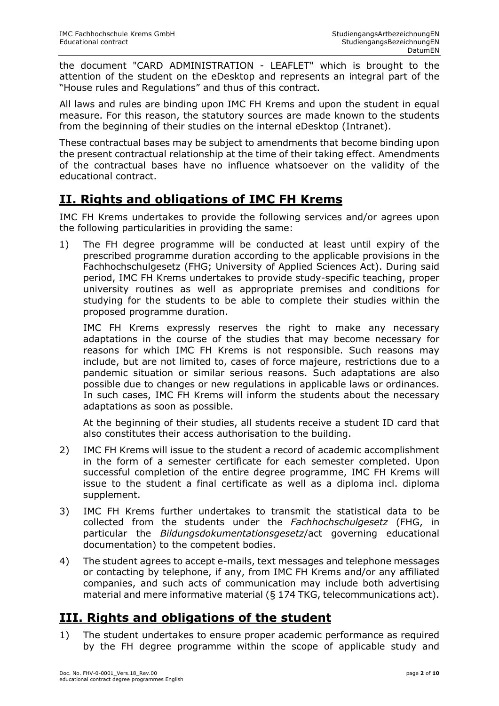the document "CARD ADMINISTRATION - LEAFLET" which is brought to the attention of the student on the eDesktop and represents an integral part of the "House rules and Regulations" and thus of this contract.

All laws and rules are binding upon IMC FH Krems and upon the student in equal measure. For this reason, the statutory sources are made known to the students from the beginning of their studies on the internal eDesktop (Intranet).

These contractual bases may be subject to amendments that become binding upon the present contractual relationship at the time of their taking effect. Amendments of the contractual bases have no influence whatsoever on the validity of the educational contract.

## **II. Rights and obligations of IMC FH Krems**

IMC FH Krems undertakes to provide the following services and/or agrees upon the following particularities in providing the same:

1) The FH degree programme will be conducted at least until expiry of the prescribed programme duration according to the applicable provisions in the Fachhochschulgesetz (FHG; University of Applied Sciences Act). During said period, IMC FH Krems undertakes to provide study-specific teaching, proper university routines as well as appropriate premises and conditions for studying for the students to be able to complete their studies within the proposed programme duration.

IMC FH Krems expressly reserves the right to make any necessary adaptations in the course of the studies that may become necessary for reasons for which IMC FH Krems is not responsible. Such reasons may include, but are not limited to, cases of force majeure, restrictions due to a pandemic situation or similar serious reasons. Such adaptations are also possible due to changes or new regulations in applicable laws or ordinances. In such cases, IMC FH Krems will inform the students about the necessary adaptations as soon as possible.

At the beginning of their studies, all students receive a student ID card that also constitutes their access authorisation to the building.

- 2) IMC FH Krems will issue to the student a record of academic accomplishment in the form of a semester certificate for each semester completed. Upon successful completion of the entire degree programme, IMC FH Krems will issue to the student a final certificate as well as a diploma incl. diploma supplement.
- 3) IMC FH Krems further undertakes to transmit the statistical data to be collected from the students under the *Fachhochschulgesetz* (FHG, in particular the *Bildungsdokumentationsgesetz*/act governing educational documentation) to the competent bodies.
- 4) The student agrees to accept e-mails, text messages and telephone messages or contacting by telephone, if any, from IMC FH Krems and/or any affiliated companies, and such acts of communication may include both advertising material and mere informative material (§ 174 TKG, telecommunications act).

#### **III. Rights and obligations of the student**

1) The student undertakes to ensure proper academic performance as required by the FH degree programme within the scope of applicable study and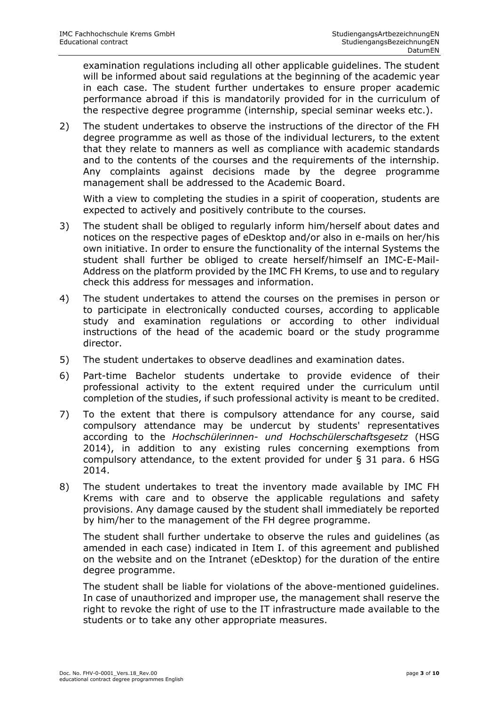examination regulations including all other applicable guidelines. The student will be informed about said regulations at the beginning of the academic year in each case. The student further undertakes to ensure proper academic performance abroad if this is mandatorily provided for in the curriculum of the respective degree programme (internship, special seminar weeks etc.).

2) The student undertakes to observe the instructions of the director of the FH degree programme as well as those of the individual lecturers, to the extent that they relate to manners as well as compliance with academic standards and to the contents of the courses and the requirements of the internship. Any complaints against decisions made by the degree programme management shall be addressed to the Academic Board.

With a view to completing the studies in a spirit of cooperation, students are expected to actively and positively contribute to the courses.

- 3) The student shall be obliged to regularly inform him/herself about dates and notices on the respective pages of eDesktop and/or also in e-mails on her/his own initiative. In order to ensure the functionality of the internal Systems the student shall further be obliged to create herself/himself an IMC-E-Mail-Address on the platform provided by the IMC FH Krems, to use and to regulary check this address for messages and information.
- 4) The student undertakes to attend the courses on the premises in person or to participate in electronically conducted courses, according to applicable study and examination regulations or according to other individual instructions of the head of the academic board or the study programme director.
- 5) The student undertakes to observe deadlines and examination dates.
- 6) Part-time Bachelor students undertake to provide evidence of their professional activity to the extent required under the curriculum until completion of the studies, if such professional activity is meant to be credited.
- 7) To the extent that there is compulsory attendance for any course, said compulsory attendance may be undercut by students' representatives according to the *Hochschülerinnen- und Hochschülerschaftsgesetz* (HSG 2014), in addition to any existing rules concerning exemptions from compulsory attendance, to the extent provided for under § 31 para. 6 HSG 2014.
- 8) The student undertakes to treat the inventory made available by IMC FH Krems with care and to observe the applicable regulations and safety provisions. Any damage caused by the student shall immediately be reported by him/her to the management of the FH degree programme.

The student shall further undertake to observe the rules and guidelines (as amended in each case) indicated in Item I. of this agreement and published on the website and on the Intranet (eDesktop) for the duration of the entire degree programme.

The student shall be liable for violations of the above-mentioned guidelines. In case of unauthorized and improper use, the management shall reserve the right to revoke the right of use to the IT infrastructure made available to the students or to take any other appropriate measures.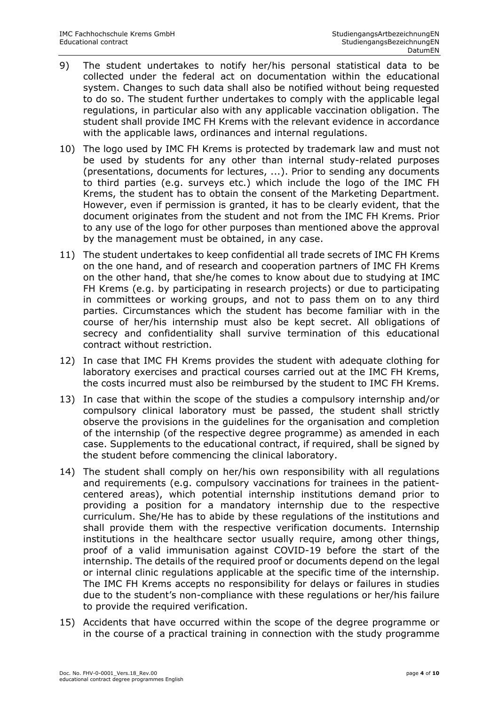- 9) The student undertakes to notify her/his personal statistical data to be collected under the federal act on documentation within the educational system. Changes to such data shall also be notified without being requested to do so. The student further undertakes to comply with the applicable legal regulations, in particular also with any applicable vaccination obligation. The student shall provide IMC FH Krems with the relevant evidence in accordance with the applicable laws, ordinances and internal regulations.
- 10) The logo used by IMC FH Krems is protected by trademark law and must not be used by students for any other than internal study-related purposes (presentations, documents for lectures, ...). Prior to sending any documents to third parties (e.g. surveys etc.) which include the logo of the IMC FH Krems, the student has to obtain the consent of the Marketing Department. However, even if permission is granted, it has to be clearly evident, that the document originates from the student and not from the IMC FH Krems. Prior to any use of the logo for other purposes than mentioned above the approval by the management must be obtained, in any case.
- 11) The student undertakes to keep confidential all trade secrets of IMC FH Krems on the one hand, and of research and cooperation partners of IMC FH Krems on the other hand, that she/he comes to know about due to studying at IMC FH Krems (e.g. by participating in research projects) or due to participating in committees or working groups, and not to pass them on to any third parties. Circumstances which the student has become familiar with in the course of her/his internship must also be kept secret. All obligations of secrecy and confidentiality shall survive termination of this educational contract without restriction.
- 12) In case that IMC FH Krems provides the student with adequate clothing for laboratory exercises and practical courses carried out at the IMC FH Krems, the costs incurred must also be reimbursed by the student to IMC FH Krems.
- 13) In case that within the scope of the studies a compulsory internship and/or compulsory clinical laboratory must be passed, the student shall strictly observe the provisions in the guidelines for the organisation and completion of the internship (of the respective degree programme) as amended in each case. Supplements to the educational contract, if required, shall be signed by the student before commencing the clinical laboratory.
- 14) The student shall comply on her/his own responsibility with all regulations and requirements (e.g. compulsory vaccinations for trainees in the patientcentered areas), which potential internship institutions demand prior to providing a position for a mandatory internship due to the respective curriculum. She/He has to abide by these regulations of the institutions and shall provide them with the respective verification documents. Internship institutions in the healthcare sector usually require, among other things, proof of a valid immunisation against COVID-19 before the start of the internship. The details of the required proof or documents depend on the legal or internal clinic regulations applicable at the specific time of the internship. The IMC FH Krems accepts no responsibility for delays or failures in studies due to the student's non-compliance with these regulations or her/his failure to provide the required verification.
- 15) Accidents that have occurred within the scope of the degree programme or in the course of a practical training in connection with the study programme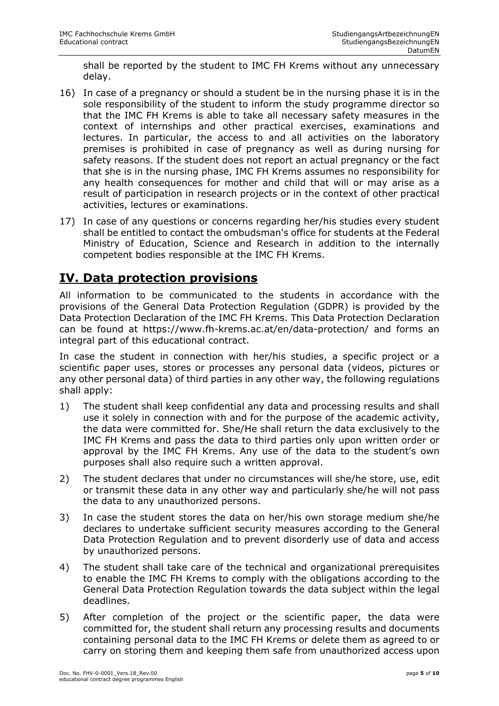shall be reported by the student to IMC FH Krems without any unnecessary delay.

- 16) In case of a pregnancy or should a student be in the nursing phase it is in the sole responsibility of the student to inform the study programme director so that the IMC FH Krems is able to take all necessary safety measures in the context of internships and other practical exercises, examinations and lectures. In particular, the access to and all activities on the laboratory premises is prohibited in case of pregnancy as well as during nursing for safety reasons. If the student does not report an actual pregnancy or the fact that she is in the nursing phase, IMC FH Krems assumes no responsibility for any health consequences for mother and child that will or may arise as a result of participation in research projects or in the context of other practical activities, lectures or examinations.
- 17) In case of any questions or concerns regarding her/his studies every student shall be entitled to contact the ombudsman's office for students at the Federal Ministry of Education, Science and Research in addition to the internally competent bodies responsible at the IMC FH Krems.

## **IV. Data protection provisions**

All information to be communicated to the students in accordance with the provisions of the General Data Protection Regulation (GDPR) is provided by the Data Protection Declaration of the IMC FH Krems. This Data Protection Declaration can be found at <https://www.fh-krems.ac.at/>en/data-protection/ and forms an integral part of this educational contract.

In case the student in connection with her/his studies, a specific project or a scientific paper uses, stores or processes any personal data (videos, pictures or any other personal data) of third parties in any other way, the following regulations shall apply:

- 1) The student shall keep confidential any data and processing results and shall use it solely in connection with and for the purpose of the academic activity, the data were committed for. She/He shall return the data exclusively to the IMC FH Krems and pass the data to third parties only upon written order or approval by the IMC FH Krems. Any use of the data to the student's own purposes shall also require such a written approval.
- 2) The student declares that under no circumstances will she/he store, use, edit or transmit these data in any other way and particularly she/he will not pass the data to any unauthorized persons.
- 3) In case the student stores the data on her/his own storage medium she/he declares to undertake sufficient security measures according to the General Data Protection Regulation and to prevent disorderly use of data and access by unauthorized persons.
- 4) The student shall take care of the technical and organizational prerequisites to enable the IMC FH Krems to comply with the obligations according to the General Data Protection Regulation towards the data subject within the legal deadlines.
- 5) After completion of the project or the scientific paper, the data were committed for, the student shall return any processing results and documents containing personal data to the IMC FH Krems or delete them as agreed to or carry on storing them and keeping them safe from unauthorized access upon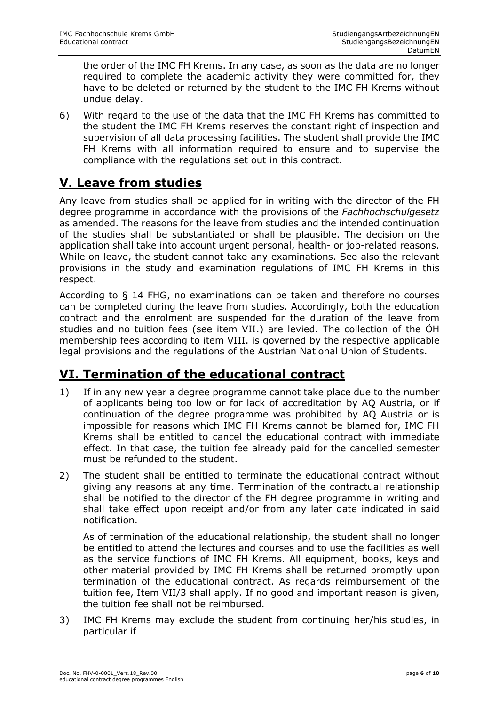the order of the IMC FH Krems. In any case, as soon as the data are no longer required to complete the academic activity they were committed for, they have to be deleted or returned by the student to the IMC FH Krems without undue delay.

6) With regard to the use of the data that the IMC FH Krems has committed to the student the IMC FH Krems reserves the constant right of inspection and supervision of all data processing facilities. The student shall provide the IMC FH Krems with all information required to ensure and to supervise the compliance with the regulations set out in this contract.

## **V. Leave from studies**

Any leave from studies shall be applied for in writing with the director of the FH degree programme in accordance with the provisions of the *Fachhochschulgesetz* as amended. The reasons for the leave from studies and the intended continuation of the studies shall be substantiated or shall be plausible. The decision on the application shall take into account urgent personal, health- or job-related reasons. While on leave, the student cannot take any examinations. See also the relevant provisions in the study and examination regulations of IMC FH Krems in this respect.

According to § 14 FHG, no examinations can be taken and therefore no courses can be completed during the leave from studies. Accordingly, both the education contract and the enrolment are suspended for the duration of the leave from studies and no tuition fees (see item VII.) are levied. The collection of the ÖH membership fees according to item VIII. is governed by the respective applicable legal provisions and the regulations of the Austrian National Union of Students.

## **VI. Termination of the educational contract**

- 1) If in any new year a degree programme cannot take place due to the number of applicants being too low or for lack of accreditation by AQ Austria, or if continuation of the degree programme was prohibited by AQ Austria or is impossible for reasons which IMC FH Krems cannot be blamed for, IMC FH Krems shall be entitled to cancel the educational contract with immediate effect. In that case, the tuition fee already paid for the cancelled semester must be refunded to the student.
- 2) The student shall be entitled to terminate the educational contract without giving any reasons at any time. Termination of the contractual relationship shall be notified to the director of the FH degree programme in writing and shall take effect upon receipt and/or from any later date indicated in said notification.

As of termination of the educational relationship, the student shall no longer be entitled to attend the lectures and courses and to use the facilities as well as the service functions of IMC FH Krems. All equipment, books, keys and other material provided by IMC FH Krems shall be returned promptly upon termination of the educational contract. As regards reimbursement of the tuition fee, Item VII/3 shall apply. If no good and important reason is given, the tuition fee shall not be reimbursed.

3) IMC FH Krems may exclude the student from continuing her/his studies, in particular if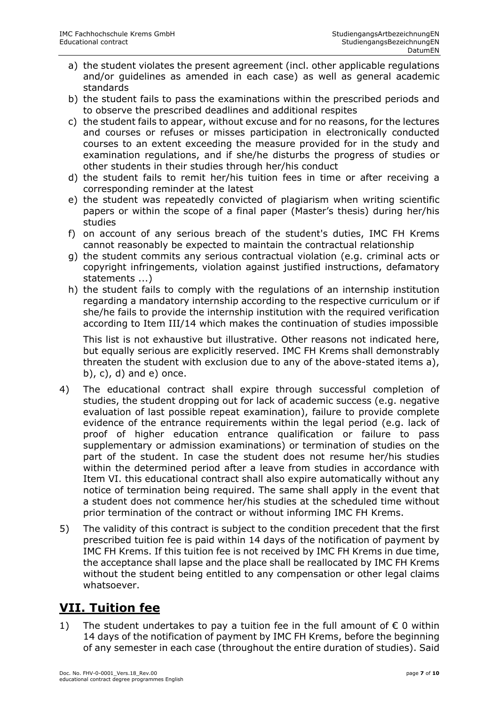- a) the student violates the present agreement (incl. other applicable regulations and/or guidelines as amended in each case) as well as general academic standards
- b) the student fails to pass the examinations within the prescribed periods and to observe the prescribed deadlines and additional respites
- c) the student fails to appear, without excuse and for no reasons, for the lectures and courses or refuses or misses participation in electronically conducted courses to an extent exceeding the measure provided for in the study and examination regulations, and if she/he disturbs the progress of studies or other students in their studies through her/his conduct
- d) the student fails to remit her/his tuition fees in time or after receiving a corresponding reminder at the latest
- e) the student was repeatedly convicted of plagiarism when writing scientific papers or within the scope of a final paper (Master's thesis) during her/his studies
- f) on account of any serious breach of the student's duties, IMC FH Krems cannot reasonably be expected to maintain the contractual relationship
- g) the student commits any serious contractual violation (e.g. criminal acts or copyright infringements, violation against justified instructions, defamatory statements ...)
- h) the student fails to comply with the regulations of an internship institution regarding a mandatory internship according to the respective curriculum or if she/he fails to provide the internship institution with the required verification according to Item III/14 which makes the continuation of studies impossible

This list is not exhaustive but illustrative. Other reasons not indicated here, but equally serious are explicitly reserved. IMC FH Krems shall demonstrably threaten the student with exclusion due to any of the above-stated items a),  $(b)$ ,  $c)$ ,  $d)$  and  $e)$  once.

- 4) The educational contract shall expire through successful completion of studies, the student dropping out for lack of academic success (e.g. negative evaluation of last possible repeat examination), failure to provide complete evidence of the entrance requirements within the legal period (e.g. lack of proof of higher education entrance qualification or failure to pass supplementary or admission examinations) or termination of studies on the part of the student. In case the student does not resume her/his studies within the determined period after a leave from studies in accordance with Item VI. this educational contract shall also expire automatically without any notice of termination being required. The same shall apply in the event that a student does not commence her/his studies at the scheduled time without prior termination of the contract or without informing IMC FH Krems.
- 5) The validity of this contract is subject to the condition precedent that the first prescribed tuition fee is paid within 14 days of the notification of payment by IMC FH Krems. If this tuition fee is not received by IMC FH Krems in due time, the acceptance shall lapse and the place shall be reallocated by IMC FH Krems without the student being entitled to any compensation or other legal claims whatsoever.

## **VII. Tuition fee**

1) The student undertakes to pay a tuition fee in the full amount of  $\epsilon$  0 within 14 days of the notification of payment by IMC FH Krems, before the beginning of any semester in each case (throughout the entire duration of studies). Said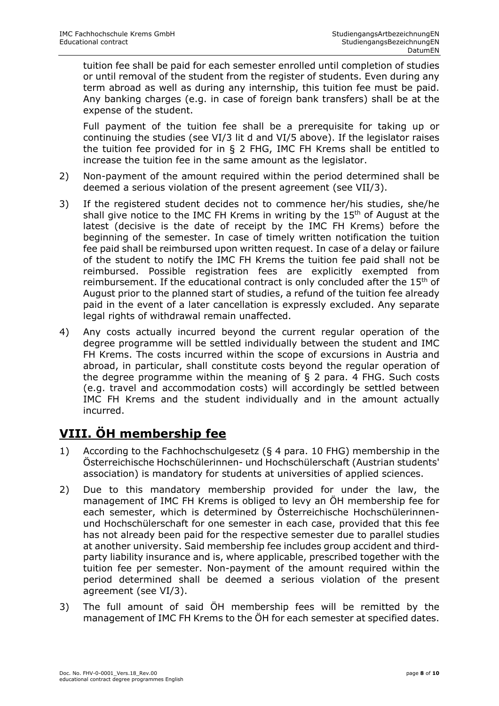tuition fee shall be paid for each semester enrolled until completion of studies or until removal of the student from the register of students. Even during any term abroad as well as during any internship, this tuition fee must be paid. Any banking charges (e.g. in case of foreign bank transfers) shall be at the expense of the student.

Full payment of the tuition fee shall be a prerequisite for taking up or continuing the studies (see VI/3 lit d and VI/5 above). If the legislator raises the tuition fee provided for in § 2 FHG, IMC FH Krems shall be entitled to increase the tuition fee in the same amount as the legislator.

- 2) Non-payment of the amount required within the period determined shall be deemed a serious violation of the present agreement (see VII/3).
- 3) If the registered student decides not to commence her/his studies, she/he shall give notice to the IMC FH Krems in writing by the 15<sup>th</sup> of August at the latest (decisive is the date of receipt by the IMC FH Krems) before the beginning of the semester. In case of timely written notification the tuition fee paid shall be reimbursed upon written request. In case of a delay or failure of the student to notify the IMC FH Krems the tuition fee paid shall not be reimbursed. Possible registration fees are explicitly exempted from reimbursement. If the educational contract is only concluded after the 15<sup>th</sup> of August prior to the planned start of studies, a refund of the tuition fee already paid in the event of a later cancellation is expressly excluded. Any separate legal rights of withdrawal remain unaffected.
- 4) Any costs actually incurred beyond the current regular operation of the degree programme will be settled individually between the student and IMC FH Krems. The costs incurred within the scope of excursions in Austria and abroad, in particular, shall constitute costs beyond the regular operation of the degree programme within the meaning of § 2 para. 4 FHG. Such costs (e.g. travel and accommodation costs) will accordingly be settled between IMC FH Krems and the student individually and in the amount actually incurred.

## **VIII. ÖH membership fee**

- 1) According to the Fachhochschulgesetz (§ 4 para. 10 FHG) membership in the Österreichische Hochschülerinnen- und Hochschülerschaft (Austrian students' association) is mandatory for students at universities of applied sciences.
- 2) Due to this mandatory membership provided for under the law, the management of IMC FH Krems is obliged to levy an ÖH membership fee for each semester, which is determined by Österreichische Hochschülerinnenund Hochschülerschaft for one semester in each case, provided that this fee has not already been paid for the respective semester due to parallel studies at another university. Said membership fee includes group accident and thirdparty liability insurance and is, where applicable, prescribed together with the tuition fee per semester. Non-payment of the amount required within the period determined shall be deemed a serious violation of the present agreement (see VI/3).
- 3) The full amount of said ÖH membership fees will be remitted by the management of IMC FH Krems to the ÖH for each semester at specified dates.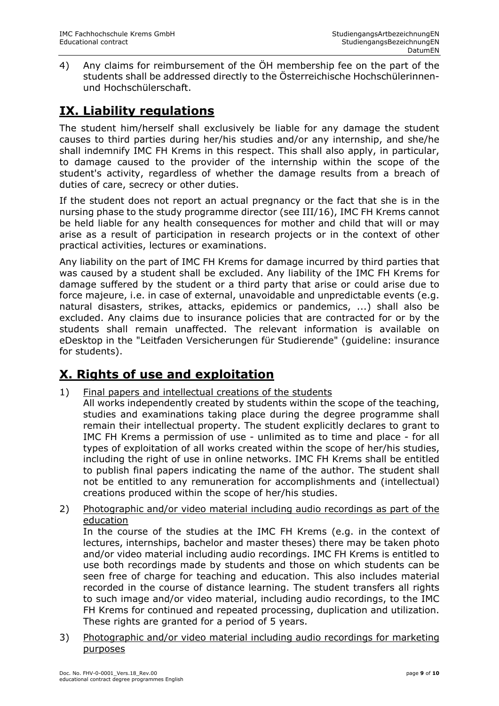4) Any claims for reimbursement of the ÖH membership fee on the part of the students shall be addressed directly to the Österreichische Hochschülerinnenund Hochschülerschaft.

## **IX. Liability regulations**

The student him/herself shall exclusively be liable for any damage the student causes to third parties during her/his studies and/or any internship, and she/he shall indemnify IMC FH Krems in this respect. This shall also apply, in particular, to damage caused to the provider of the internship within the scope of the student's activity, regardless of whether the damage results from a breach of duties of care, secrecy or other duties.

If the student does not report an actual pregnancy or the fact that she is in the nursing phase to the study programme director (see III/16), IMC FH Krems cannot be held liable for any health consequences for mother and child that will or may arise as a result of participation in research projects or in the context of other practical activities, lectures or examinations.

Any liability on the part of IMC FH Krems for damage incurred by third parties that was caused by a student shall be excluded. Any liability of the IMC FH Krems for damage suffered by the student or a third party that arise or could arise due to force majeure, i.e. in case of external, unavoidable and unpredictable events (e.g. natural disasters, strikes, attacks, epidemics or pandemics, ...) shall also be excluded. Any claims due to insurance policies that are contracted for or by the students shall remain unaffected. The relevant information is available on eDesktop in the "Leitfaden Versicherungen für Studierende" (guideline: insurance for students).

## **X. Rights of use and exploitation**

- 1) Final papers and intellectual creations of the students
	- All works independently created by students within the scope of the teaching, studies and examinations taking place during the degree programme shall remain their intellectual property. The student explicitly declares to grant to IMC FH Krems a permission of use - unlimited as to time and place - for all types of exploitation of all works created within the scope of her/his studies, including the right of use in online networks. IMC FH Krems shall be entitled to publish final papers indicating the name of the author. The student shall not be entitled to any remuneration for accomplishments and (intellectual) creations produced within the scope of her/his studies.
- 2) Photographic and/or video material including audio recordings as part of the education

In the course of the studies at the IMC FH Krems (e.g. in the context of lectures, internships, bachelor and master theses) there may be taken photo and/or video material including audio recordings. IMC FH Krems is entitled to use both recordings made by students and those on which students can be seen free of charge for teaching and education. This also includes material recorded in the course of distance learning. The student transfers all rights to such image and/or video material, including audio recordings, to the IMC FH Krems for continued and repeated processing, duplication and utilization. These rights are granted for a period of 5 years.

3) Photographic and/or video material including audio recordings for marketing purposes